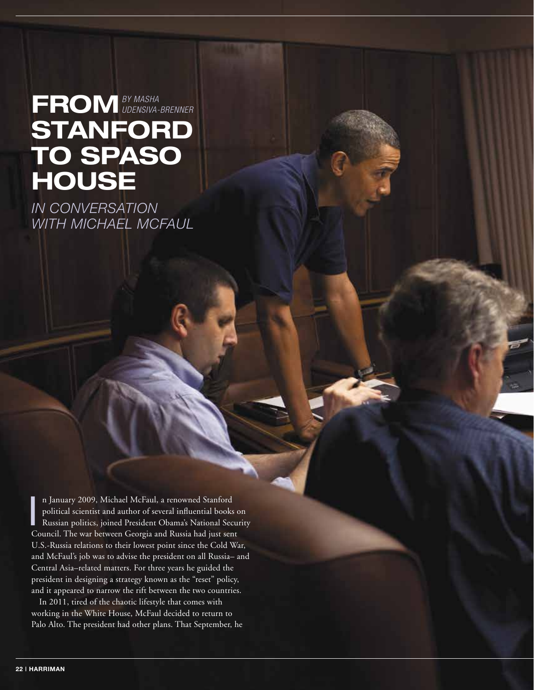## **FROM**  *BY MASHA*  **STANFORD TO SPASO HOUSE** *UDENSIVA-BRENNER*

*IN CONVERSATION WITH MICHAEL MCFAUL*

n January 2009, Michael McFaul, a renowned Stanford<br>political scientist and author of several influential books c<br>Russian politics, joined President Obama's National Secu<br>Council. The war between Georgia and Russia had jus n January 2009, Michael McFaul, a renowned Stanford political scientist and author of several influential books on Russian politics, joined President Obama's National Security U.S.-Russia relations to their lowest point since the Cold War, and McFaul's job was to advise the president on all Russia– and Central Asia–related matters. For three years he guided the president in designing a strategy known as the "reset" policy, and it appeared to narrow the rift between the two countries.

In 2011, tired of the chaotic lifestyle that comes with working in the White House, McFaul decided to return to Palo Alto. The president had other plans. That September, he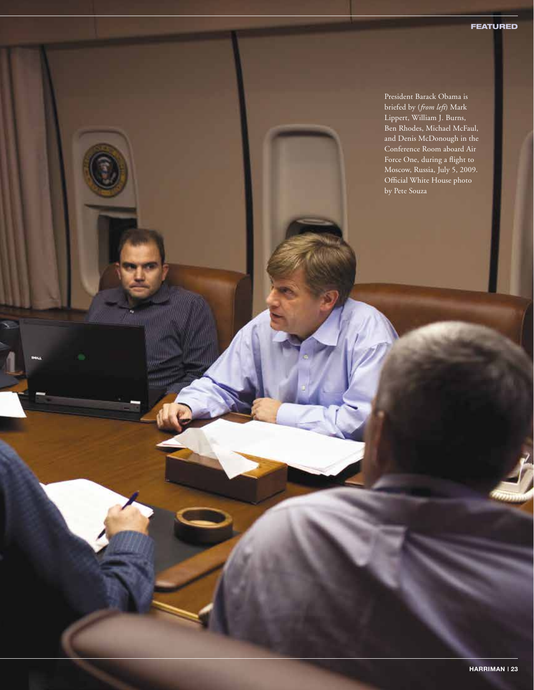President Barack Obama is briefed by (*from left*) Mark Lippert, William J. Burns, Ben Rhodes, Michael McFaul, and Denis McDonough in the Conference Room aboard Air Force One, during a flight to Moscow, Russia, July 5, 2009. Official White House photo by Pete Souza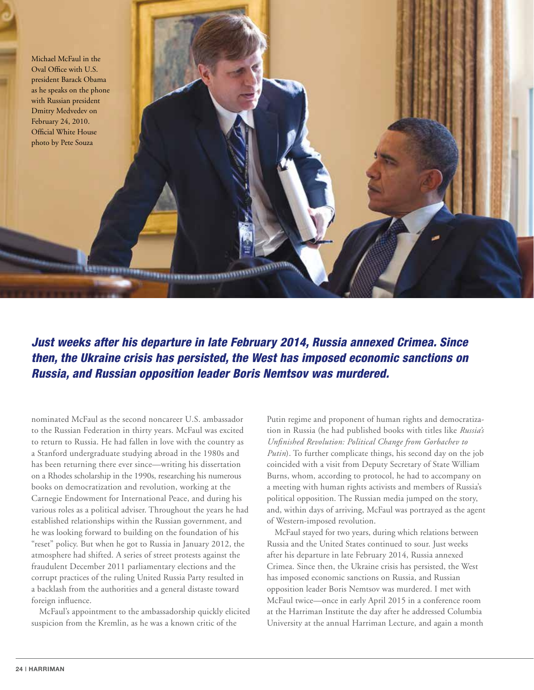

*Just weeks after his departure in late February 2014, Russia annexed Crimea. Since then, the Ukraine crisis has persisted, the West has imposed economic sanctions on Russia, and Russian opposition leader Boris Nemtsov was murdered.*

<u>Tannisuummuun</u>

nominated McFaul as the second noncareer U.S. ambassador to the Russian Federation in thirty years. McFaul was excited to return to Russia. He had fallen in love with the country as a Stanford undergraduate studying abroad in the 1980s and has been returning there ever since—writing his dissertation on a Rhodes scholarship in the 1990s, researching his numerous books on democratization and revolution, working at the Carnegie Endowment for International Peace, and during his various roles as a political adviser. Throughout the years he had established relationships within the Russian government, and he was looking forward to building on the foundation of his "reset" policy. But when he got to Russia in January 2012, the atmosphere had shifted. A series of street protests against the fraudulent December 2011 parliamentary elections and the corrupt practices of the ruling United Russia Party resulted in a backlash from the authorities and a general distaste toward foreign influence.

McFaul's appointment to the ambassadorship quickly elicited suspicion from the Kremlin, as he was a known critic of the

Putin regime and proponent of human rights and democratization in Russia (he had published books with titles like *Russia's Unfinished Revolution: Political Change from Gorbachev to Putin*). To further complicate things, his second day on the job coincided with a visit from Deputy Secretary of State William Burns, whom, according to protocol, he had to accompany on a meeting with human rights activists and members of Russia's political opposition. The Russian media jumped on the story, and, within days of arriving, McFaul was portrayed as the agent of Western-imposed revolution.

McFaul stayed for two years, during which relations between Russia and the United States continued to sour. Just weeks after his departure in late February 2014, Russia annexed Crimea. Since then, the Ukraine crisis has persisted, the West has imposed economic sanctions on Russia, and Russian opposition leader Boris Nemtsov was murdered. I met with McFaul twice—once in early April 2015 in a conference room at the Harriman Institute the day after he addressed Columbia University at the annual Harriman Lecture, and again a month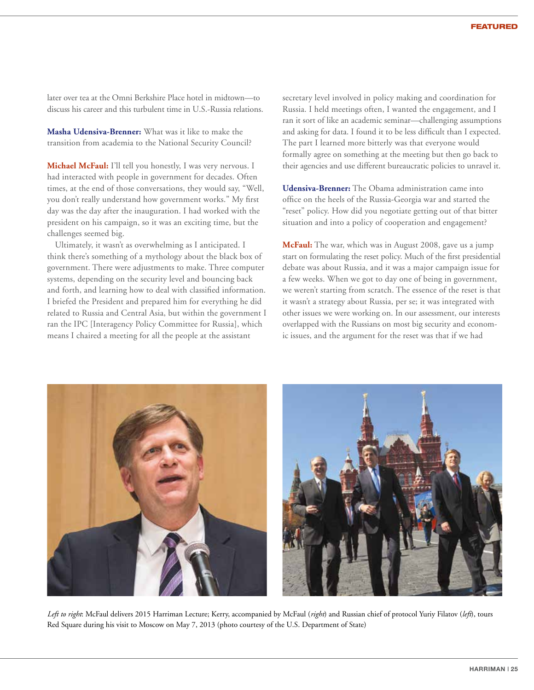later over tea at the Omni Berkshire Place hotel in midtown—to discuss his career and this turbulent time in U.S.-Russia relations.

**Masha Udensiva-Brenner:** What was it like to make the transition from academia to the National Security Council?

**Michael McFaul:** I'll tell you honestly, I was very nervous. I had interacted with people in government for decades. Often times, at the end of those conversations, they would say, "Well, you don't really understand how government works." My first day was the day after the inauguration. I had worked with the president on his campaign, so it was an exciting time, but the challenges seemed big.

Ultimately, it wasn't as overwhelming as I anticipated. I think there's something of a mythology about the black box of government. There were adjustments to make. Three computer systems, depending on the security level and bouncing back and forth, and learning how to deal with classified information. I briefed the President and prepared him for everything he did related to Russia and Central Asia, but within the government I ran the IPC [Interagency Policy Committee for Russia], which means I chaired a meeting for all the people at the assistant

secretary level involved in policy making and coordination for Russia. I held meetings often, I wanted the engagement, and I ran it sort of like an academic seminar—challenging assumptions and asking for data. I found it to be less difficult than I expected. The part I learned more bitterly was that everyone would formally agree on something at the meeting but then go back to their agencies and use different bureaucratic policies to unravel it.

**Udensiva-Brenner:** The Obama administration came into office on the heels of the Russia-Georgia war and started the "reset" policy. How did you negotiate getting out of that bitter situation and into a policy of cooperation and engagement?

**McFaul:** The war, which was in August 2008, gave us a jump start on formulating the reset policy. Much of the first presidential debate was about Russia, and it was a major campaign issue for a few weeks. When we got to day one of being in government, we weren't starting from scratch. The essence of the reset is that it wasn't a strategy about Russia, per se; it was integrated with other issues we were working on. In our assessment, our interests overlapped with the Russians on most big security and economic issues, and the argument for the reset was that if we had



*Left to right*: McFaul delivers 2015 Harriman Lecture; Kerry, accompanied by McFaul (*right*) and Russian chief of protocol Yuriy Filatov (*left*), tours Red Square during his visit to Moscow on May 7, 2013 (photo courtesy of the U.S. Department of State)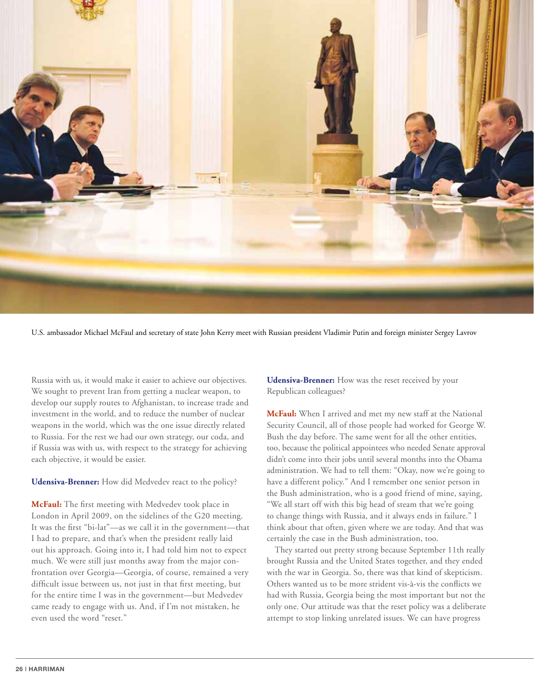

U.S. ambassador Michael McFaul and secretary of state John Kerry meet with Russian president Vladimir Putin and foreign minister Sergey Lavrov

Russia with us, it would make it easier to achieve our objectives. We sought to prevent Iran from getting a nuclear weapon, to develop our supply routes to Afghanistan, to increase trade and investment in the world, and to reduce the number of nuclear weapons in the world, which was the one issue directly related to Russia. For the rest we had our own strategy, our coda, and if Russia was with us, with respect to the strategy for achieving each objective, it would be easier.

## **Udensiva-Brenner:** How did Medvedev react to the policy?

**McFaul:** The first meeting with Medvedev took place in London in April 2009, on the sidelines of the G20 meeting. It was the first "bi-lat"—as we call it in the government—that I had to prepare, and that's when the president really laid out his approach. Going into it, I had told him not to expect much. We were still just months away from the major confrontation over Georgia—Georgia, of course, remained a very difficult issue between us, not just in that first meeting, but for the entire time I was in the government—but Medvedev came ready to engage with us. And, if I'm not mistaken, he even used the word "reset."

**Udensiva-Brenner:** How was the reset received by your Republican colleagues?

**McFaul:** When I arrived and met my new staff at the National Security Council, all of those people had worked for George W. Bush the day before. The same went for all the other entities, too, because the political appointees who needed Senate approval didn't come into their jobs until several months into the Obama administration. We had to tell them: "Okay, now we're going to have a different policy." And I remember one senior person in the Bush administration, who is a good friend of mine, saying, "We all start off with this big head of steam that we're going to change things with Russia, and it always ends in failure." I think about that often, given where we are today. And that was certainly the case in the Bush administration, too.

They started out pretty strong because September 11th really brought Russia and the United States together, and they ended with the war in Georgia. So, there was that kind of skepticism. Others wanted us to be more strident vis-à-vis the conflicts we had with Russia, Georgia being the most important but not the only one. Our attitude was that the reset policy was a deliberate attempt to stop linking unrelated issues. We can have progress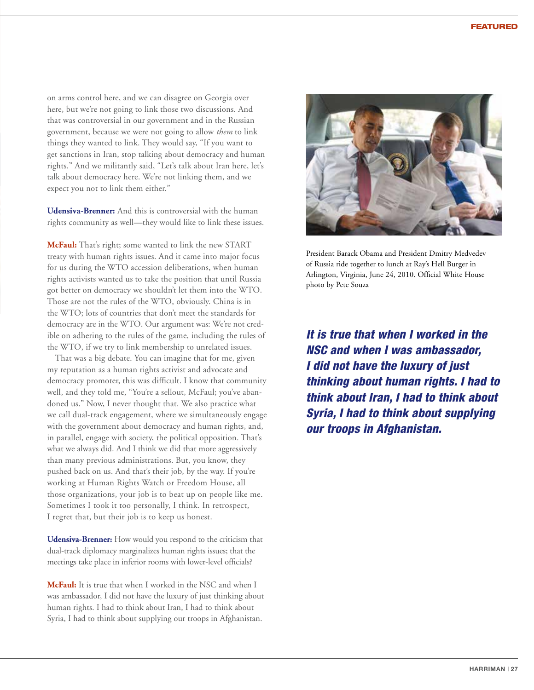on arms control here, and we can disagree on Georgia over here, but we're not going to link those two discussions. And that was controversial in our government and in the Russian government, because we were not going to allow *them* to link things they wanted to link. They would say, "If you want to get sanctions in Iran, stop talking about democracy and human rights." And we militantly said, "Let's talk about Iran here, let's talk about democracy here. We're not linking them, and we expect you not to link them either."

**Udensiva-Brenner:** And this is controversial with the human rights community as well—they would like to link these issues.

**McFaul:** That's right; some wanted to link the new START treaty with human rights issues. And it came into major focus for us during the WTO accession deliberations, when human rights activists wanted us to take the position that until Russia got better on democracy we shouldn't let them into the WTO. Those are not the rules of the WTO, obviously. China is in the WTO; lots of countries that don't meet the standards for democracy are in the WTO. Our argument was: We're not credible on adhering to the rules of the game, including the rules of the WTO, if we try to link membership to unrelated issues.

That was a big debate. You can imagine that for me, given my reputation as a human rights activist and advocate and democracy promoter, this was difficult. I know that community well, and they told me, "You're a sellout, McFaul; you've abandoned us." Now, I never thought that. We also practice what we call dual-track engagement, where we simultaneously engage with the government about democracy and human rights, and, in parallel, engage with society, the political opposition. That's what we always did. And I think we did that more aggressively than many previous administrations. But, you know, they pushed back on us. And that's their job, by the way. If you're working at Human Rights Watch or Freedom House, all those organizations, your job is to beat up on people like me. Sometimes I took it too personally, I think. In retrospect, I regret that, but their job is to keep us honest.

**Udensiva-Brenner:** How would you respond to the criticism that dual-track diplomacy marginalizes human rights issues; that the meetings take place in inferior rooms with lower-level officials?

**McFaul:** It is true that when I worked in the NSC and when I was ambassador, I did not have the luxury of just thinking about human rights. I had to think about Iran, I had to think about Syria, I had to think about supplying our troops in Afghanistan.



President Barack Obama and President Dmitry Medvedev of Russia ride together to lunch at Ray's Hell Burger in Arlington, Virginia, June 24, 2010. Official White House photo by Pete Souza

*It is true that when I worked in the NSC and when I was ambassador, I did not have the luxury of just thinking about human rights. I had to think about Iran, I had to think about Syria, I had to think about supplying our troops in Afghanistan.*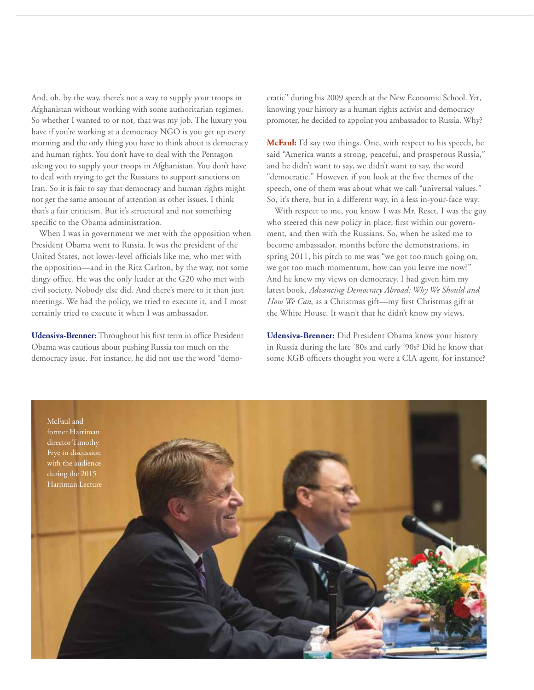And, oh, by the way, there's not a way to supply your troops in Afghanistan without working with some authoritarian regimes. So whether I wanted to or not, that was my job. The luxury you have if you're working at a democracy NGO is you get up every morning and the only thing you have to think about is democracy and human rights. You don't have to deal with the Pentagon asking you to supply your troops in Afghanistan. You don't have to deal with trying to get the Russians to support sanctions on Iran. So it is fair to say that democracy and human rights might not get the same amount of attention as other issues. I think that's a fair criticism. But it's structural and not something specific to the Obama administration.

When I was in government we met with the opposition when President Obama went to Russia. It was the president of the United States, not lower-level officials like me, who met with the opposition—and in the Ritz Carlton, by the way, not some dingy office. He was the only leader at the G20 who met with civil society. Nobody else did. And there's more to it than just meetings. We had the policy, we tried to execute it, and I most certainly tried to execute it when I was ambassador.

**Udensiva-Brenner:** Throughout his first term in office President Obama was cautious about pushing Russia too much on the democracy issue. For instance, he did not use the word "democratic" during his 2009 speech at the New Economic School. Yet, knowing your history as a human rights activist and democracy promoter, he decided to appoint you ambassador to Russia. Why?

**McFaul:** I'd say two things. One, with respect to his speech, he said "America wants a strong, peaceful, and prosperous Russia," and he didn't want to say, we didn't want to say, the word "democratic." However, if you look at the five themes of the speech, one of them was about what we call "universal values." So, it's there, but in a different way, in a less in-your-face way.

With respect to me, you know, I was Mr. Reset. I was the guy who steered this new policy in place; first within our government, and then with the Russians. So, when he asked me to become ambassador, months before the demonstrations, in spring 2011, his pitch to me was "we got too much going on, we got too much momentum, how can you leave me now?" And he knew my views on democracy. I had given him my latest book, *Advancing Democracy Abroad: Why We Should and How We Can*, as a Christmas gift—my first Christmas gift at the White House. It wasn't that he didn't know my views.

**Udensiva-Brenner:** Did President Obama know your history in Russia during the late '80s and early '90s? Did he know that some KGB officers thought you were a CIA agent, for instance?

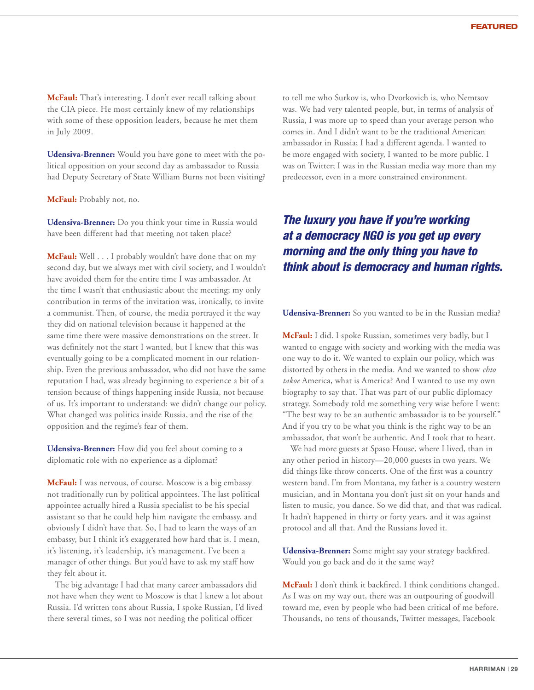**McFaul:** That's interesting. I don't ever recall talking about the CIA piece. He most certainly knew of my relationships with some of these opposition leaders, because he met them in July 2009.

**Udensiva-Brenner:** Would you have gone to meet with the political opposition on your second day as ambassador to Russia had Deputy Secretary of State William Burns not been visiting?

**McFaul:** Probably not, no.

**Udensiva-Brenner:** Do you think your time in Russia would have been different had that meeting not taken place?

**McFaul:** Well . . . I probably wouldn't have done that on my second day, but we always met with civil society, and I wouldn't have avoided them for the entire time I was ambassador. At the time I wasn't that enthusiastic about the meeting; my only contribution in terms of the invitation was, ironically, to invite a communist. Then, of course, the media portrayed it the way they did on national television because it happened at the same time there were massive demonstrations on the street. It was definitely not the start I wanted, but I knew that this was eventually going to be a complicated moment in our relationship. Even the previous ambassador, who did not have the same reputation I had, was already beginning to experience a bit of a tension because of things happening inside Russia, not because of us. It's important to understand: we didn't change our policy. What changed was politics inside Russia, and the rise of the opposition and the regime's fear of them.

**Udensiva-Brenner:** How did you feel about coming to a diplomatic role with no experience as a diplomat?

**McFaul:** I was nervous, of course. Moscow is a big embassy not traditionally run by political appointees. The last political appointee actually hired a Russia specialist to be his special assistant so that he could help him navigate the embassy, and obviously I didn't have that. So, I had to learn the ways of an embassy, but I think it's exaggerated how hard that is. I mean, it's listening, it's leadership, it's management. I've been a manager of other things. But you'd have to ask my staff how they felt about it.

The big advantage I had that many career ambassadors did not have when they went to Moscow is that I knew a lot about Russia. I'd written tons about Russia, I spoke Russian, I'd lived there several times, so I was not needing the political officer

to tell me who Surkov is, who Dvorkovich is, who Nemtsov was. We had very talented people, but, in terms of analysis of Russia, I was more up to speed than your average person who comes in. And I didn't want to be the traditional American ambassador in Russia; I had a different agenda. I wanted to be more engaged with society, I wanted to be more public. I was on Twitter; I was in the Russian media way more than my predecessor, even in a more constrained environment.

## *The luxury you have if you're working at a democracy NGO is you get up every morning and the only thing you have to think about is democracy and human rights.*

**Udensiva-Brenner:** So you wanted to be in the Russian media?

**McFaul:** I did. I spoke Russian, sometimes very badly, but I wanted to engage with society and working with the media was one way to do it. We wanted to explain our policy, which was distorted by others in the media. And we wanted to show *chto takoe* America, what is America? And I wanted to use my own biography to say that. That was part of our public diplomacy strategy. Somebody told me something very wise before I went: "The best way to be an authentic ambassador is to be yourself." And if you try to be what you think is the right way to be an ambassador, that won't be authentic. And I took that to heart.

We had more guests at Spaso House, where I lived, than in any other period in history—20,000 guests in two years. We did things like throw concerts. One of the first was a country western band. I'm from Montana, my father is a country western musician, and in Montana you don't just sit on your hands and listen to music, you dance. So we did that, and that was radical. It hadn't happened in thirty or forty years, and it was against protocol and all that. And the Russians loved it.

**Udensiva-Brenner:** Some might say your strategy backfired. Would you go back and do it the same way?

**McFaul:** I don't think it backfired. I think conditions changed. As I was on my way out, there was an outpouring of goodwill toward me, even by people who had been critical of me before. Thousands, no tens of thousands, Twitter messages, Facebook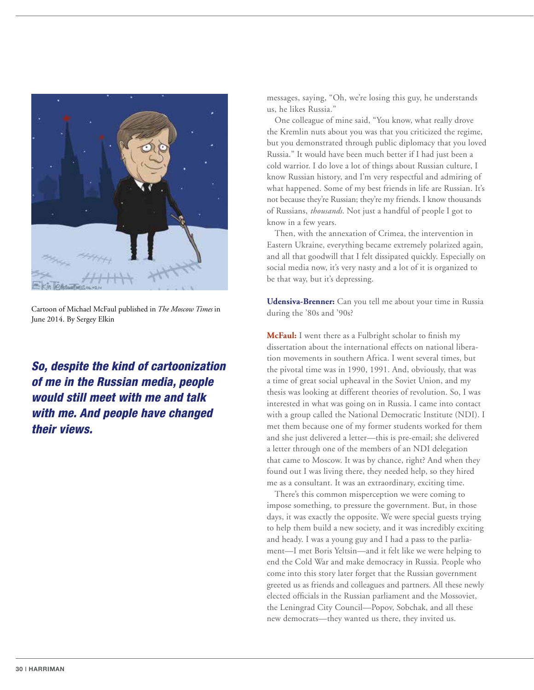

Cartoon of Michael McFaul published in *The Moscow Times* in June 2014. By Sergey Elkin

*So, despite the kind of cartoonization of me in the Russian media, people would still meet with me and talk with me. And people have changed their views.*

messages, saying, "Oh, we're losing this guy, he understands us, he likes Russia."

One colleague of mine said, "You know, what really drove the Kremlin nuts about you was that you criticized the regime, but you demonstrated through public diplomacy that you loved Russia." It would have been much better if I had just been a cold warrior. I do love a lot of things about Russian culture, I know Russian history, and I'm very respectful and admiring of what happened. Some of my best friends in life are Russian. It's not because they're Russian; they're my friends. I know thousands of Russians, *thousands*. Not just a handful of people I got to know in a few years.

Then, with the annexation of Crimea, the intervention in Eastern Ukraine, everything became extremely polarized again, and all that goodwill that I felt dissipated quickly. Especially on social media now, it's very nasty and a lot of it is organized to be that way, but it's depressing.

**Udensiva-Brenner:** Can you tell me about your time in Russia during the '80s and '90s?

**McFaul:** I went there as a Fulbright scholar to finish my dissertation about the international effects on national liberation movements in southern Africa. I went several times, but the pivotal time was in 1990, 1991. And, obviously, that was a time of great social upheaval in the Soviet Union, and my thesis was looking at different theories of revolution. So, I was interested in what was going on in Russia. I came into contact with a group called the National Democratic Institute (NDI). I met them because one of my former students worked for them and she just delivered a letter—this is pre-email; she delivered a letter through one of the members of an NDI delegation that came to Moscow. It was by chance, right? And when they found out I was living there, they needed help, so they hired me as a consultant. It was an extraordinary, exciting time.

There's this common misperception we were coming to impose something, to pressure the government. But, in those days, it was exactly the opposite. We were special guests trying to help them build a new society, and it was incredibly exciting and heady. I was a young guy and I had a pass to the parliament—I met Boris Yeltsin—and it felt like we were helping to end the Cold War and make democracy in Russia. People who come into this story later forget that the Russian government greeted us as friends and colleagues and partners. All these newly elected officials in the Russian parliament and the Mossoviet, the Leningrad City Council—Popov, Sobchak, and all these new democrats—they wanted us there, they invited us.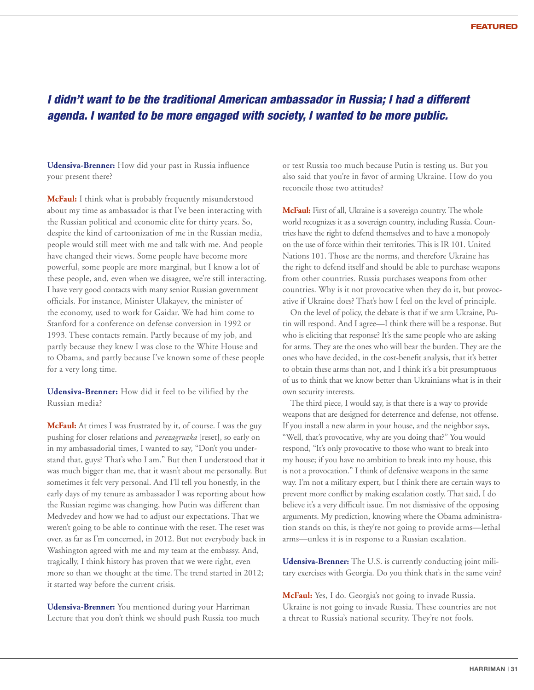## *I didn't want to be the traditional American ambassador in Russia; I had a different agenda. I wanted to be more engaged with society, I wanted to be more public.*

**Udensiva-Brenner:** How did your past in Russia influence your present there?

**McFaul:** I think what is probably frequently misunderstood about my time as ambassador is that I've been interacting with the Russian political and economic elite for thirty years. So, despite the kind of cartoonization of me in the Russian media, people would still meet with me and talk with me. And people have changed their views. Some people have become more powerful, some people are more marginal, but I know a lot of these people, and, even when we disagree, we're still interacting. I have very good contacts with many senior Russian government officials. For instance, Minister Ulakayev, the minister of the economy, used to work for Gaidar. We had him come to Stanford for a conference on defense conversion in 1992 or 1993. These contacts remain. Partly because of my job, and partly because they knew I was close to the White House and to Obama, and partly because I've known some of these people for a very long time.

**Udensiva-Brenner:** How did it feel to be vilified by the Russian media?

**McFaul:** At times I was frustrated by it, of course. I was the guy pushing for closer relations and *perezagruzka* [reset], so early on in my ambassadorial times, I wanted to say, "Don't you understand that, guys? That's who I am." But then I understood that it was much bigger than me, that it wasn't about me personally. But sometimes it felt very personal. And I'll tell you honestly, in the early days of my tenure as ambassador I was reporting about how the Russian regime was changing, how Putin was different than Medvedev and how we had to adjust our expectations. That we weren't going to be able to continue with the reset. The reset was over, as far as I'm concerned, in 2012. But not everybody back in Washington agreed with me and my team at the embassy. And, tragically, I think history has proven that we were right, even more so than we thought at the time. The trend started in 2012; it started way before the current crisis.

**Udensiva-Brenner:** You mentioned during your Harriman Lecture that you don't think we should push Russia too much or test Russia too much because Putin is testing us. But you also said that you're in favor of arming Ukraine. How do you reconcile those two attitudes?

**McFaul:** First of all, Ukraine is a sovereign country. The whole world recognizes it as a sovereign country, including Russia. Countries have the right to defend themselves and to have a monopoly on the use of force within their territories. This is IR 101. United Nations 101. Those are the norms, and therefore Ukraine has the right to defend itself and should be able to purchase weapons from other countries. Russia purchases weapons from other countries. Why is it not provocative when they do it, but provocative if Ukraine does? That's how I feel on the level of principle.

On the level of policy, the debate is that if we arm Ukraine, Putin will respond. And I agree—I think there will be a response. But who is eliciting that response? It's the same people who are asking for arms. They are the ones who will bear the burden. They are the ones who have decided, in the cost-benefit analysis, that it's better to obtain these arms than not, and I think it's a bit presumptuous of us to think that we know better than Ukrainians what is in their own security interests.

The third piece, I would say, is that there is a way to provide weapons that are designed for deterrence and defense, not offense. If you install a new alarm in your house, and the neighbor says, "Well, that's provocative, why are you doing that?" You would respond, "It's only provocative to those who want to break into my house; if you have no ambition to break into my house, this is not a provocation." I think of defensive weapons in the same way. I'm not a military expert, but I think there are certain ways to prevent more conflict by making escalation costly. That said, I do believe it's a very difficult issue. I'm not dismissive of the opposing arguments. My prediction, knowing where the Obama administration stands on this, is they're not going to provide arms—lethal arms—unless it is in response to a Russian escalation.

**Udensiva-Brenner:** The U.S. is currently conducting joint military exercises with Georgia. Do you think that's in the same vein?

**McFaul:** Yes, I do. Georgia's not going to invade Russia. Ukraine is not going to invade Russia. These countries are not a threat to Russia's national security. They're not fools.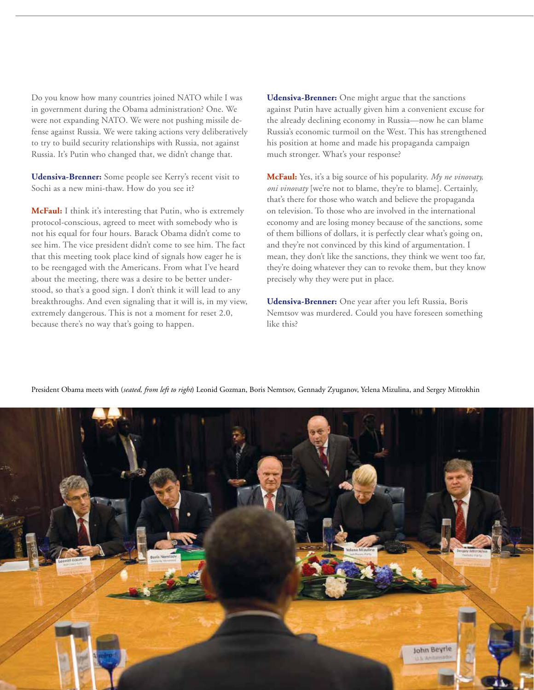Do you know how many countries joined NATO while I was in government during the Obama administration? One. We were not expanding NATO. We were not pushing missile defense against Russia. We were taking actions very deliberatively to try to build security relationships with Russia, not against Russia. It's Putin who changed that, we didn't change that.

**Udensiva-Brenner:** Some people see Kerry's recent visit to Sochi as a new mini-thaw. How do you see it?

**McFaul:** I think it's interesting that Putin, who is extremely protocol-conscious, agreed to meet with somebody who is not his equal for four hours. Barack Obama didn't come to see him. The vice president didn't come to see him. The fact that this meeting took place kind of signals how eager he is to be reengaged with the Americans. From what I've heard about the meeting, there was a desire to be better understood, so that's a good sign. I don't think it will lead to any breakthroughs. And even signaling that it will is, in my view, extremely dangerous. This is not a moment for reset 2.0, because there's no way that's going to happen.

**Udensiva-Brenner:** One might argue that the sanctions against Putin have actually given him a convenient excuse for the already declining economy in Russia—now he can blame Russia's economic turmoil on the West. This has strengthened his position at home and made his propaganda campaign much stronger. What's your response?

**McFaul:** Yes, it's a big source of his popularity. *My ne vinovaty, oni vinovaty* [we're not to blame, they're to blame]. Certainly, that's there for those who watch and believe the propaganda on television. To those who are involved in the international economy and are losing money because of the sanctions, some of them billions of dollars, it is perfectly clear what's going on, and they're not convinced by this kind of argumentation. I mean, they don't like the sanctions, they think we went too far, they're doing whatever they can to revoke them, but they know precisely why they were put in place.

**Udensiva-Brenner:** One year after you left Russia, Boris Nemtsov was murdered. Could you have foreseen something like this?



President Obama meets with (*seated, from left to right*) Leonid Gozman, Boris Nemtsov, Gennady Zyuganov, Yelena Mizulina, and Sergey Mitrokhin